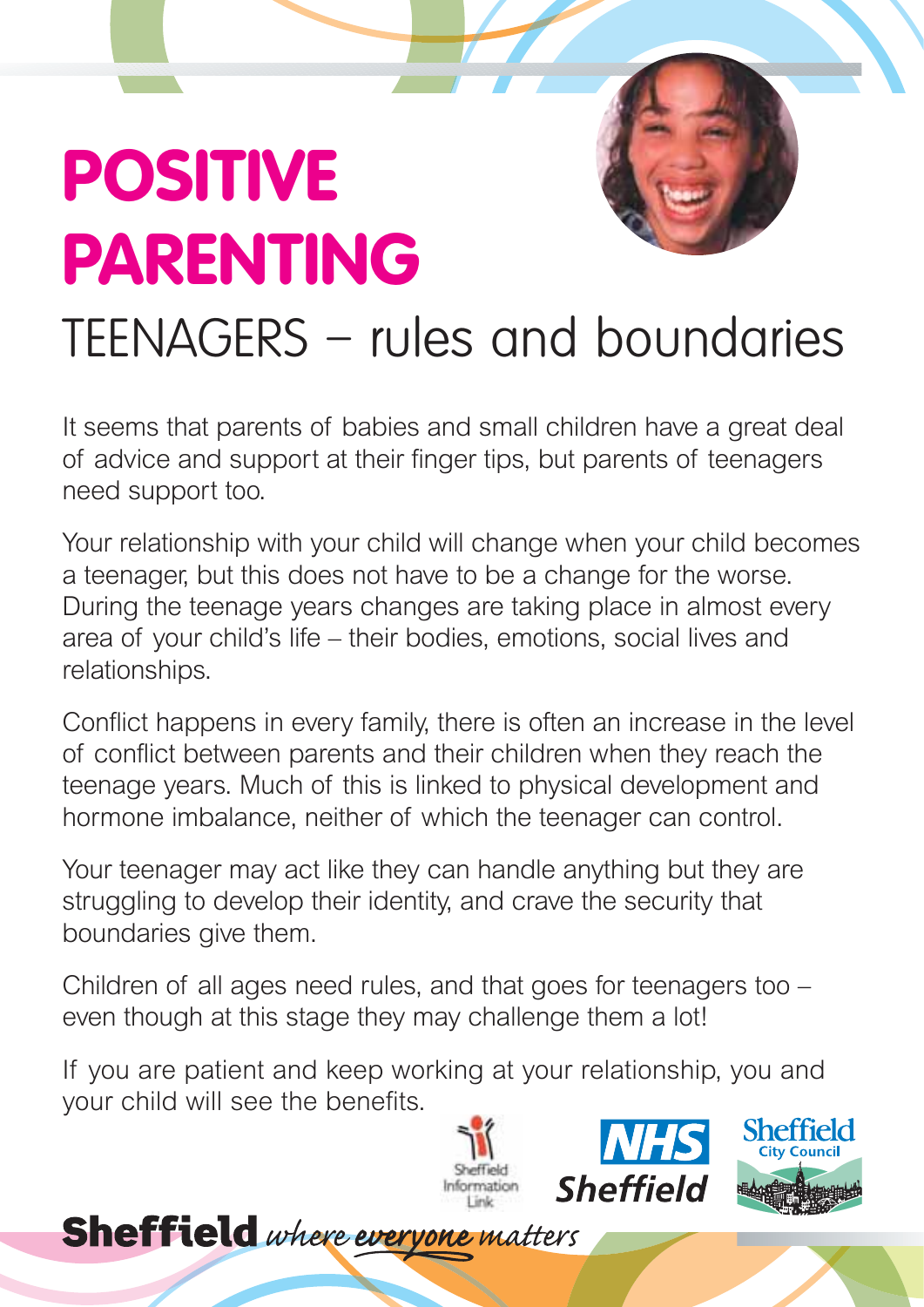## **POSITIVE PARENTING**

## TEENAGERS – rules and boundaries

It seems that parents of babies and small children have a great deal of advice and support at their finger tips, but parents of teenagers need support too.

Your relationship with your child will change when your child becomes a teenager, but this does not have to be a change for the worse. During the teenage years changes are taking place in almost every area of your child's life – their bodies, emotions, social lives and relationships.

Conflict happens in every family, there is often an increase in the level of conflict between parents and their children when they reach the teenage years. Much of this is linked to physical development and hormone imbalance, neither of which the teenager can control.

Your teenager may act like they can handle anything but they are struggling to develop their identity, and crave the security that boundaries give them.

Children of all ages need rules, and that goes for teenagers too – even though at this stage they may challenge them a lot!

If you are patient and keep working at your relationship, you and your child will see the benefits.

**Sheffield** where everyone matters